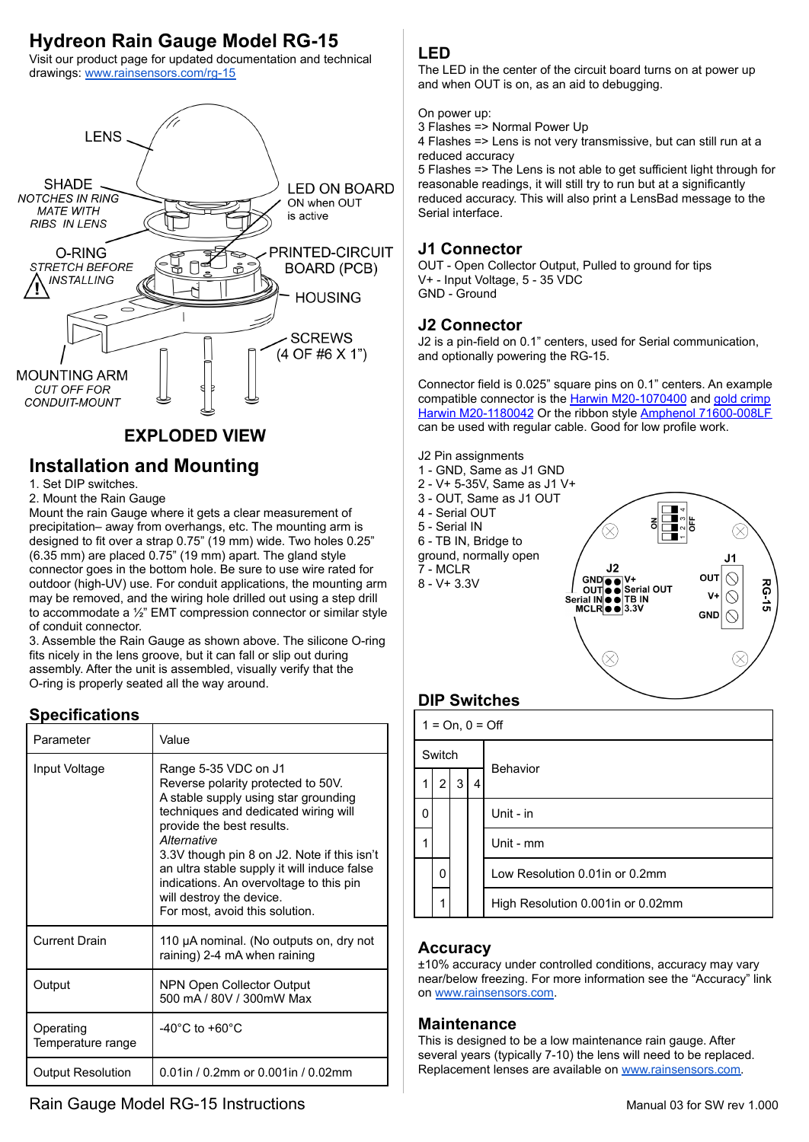# **Hydreon Rain Gauge Model RG-15**

Visit our product page for updated documentation and technical drawings: [www.rainsensors.com/rg-15](https://rainsensors.com/rg-15/?utm_source=unknown&utm_medium=15_manual&utm_campaign=1)



# **EXPLODED VIEW**

# **Installation and Mounting**

1. Set DIP switches.

2. Mount the Rain Gauge

Mount the rain Gauge where it gets a clear measurement of precipitation– away from overhangs, etc. The mounting arm is designed to fit over a strap 0.75" (19 mm) wide. Two holes 0.25" (6.35 mm) are placed 0.75" (19 mm) apart. The gland style connector goes in the bottom hole. Be sure to use wire rated for outdoor (high-UV) use. For conduit applications, the mounting arm may be removed, and the wiring hole drilled out using a step drill to accommodate a ½" EMT compression connector or similar style of conduit connector.

3. Assemble the Rain Gauge as shown above. The silicone O-ring fits nicely in the lens groove, but it can fall or slip out during assembly. After the unit is assembled, visually verify that the O-ring is properly seated all the way around.

# **Specifications**

| Parameter                      | Value                                                                                                                                                                                                                                                                                                                                                                                         |
|--------------------------------|-----------------------------------------------------------------------------------------------------------------------------------------------------------------------------------------------------------------------------------------------------------------------------------------------------------------------------------------------------------------------------------------------|
| Input Voltage                  | Range 5-35 VDC on J1<br>Reverse polarity protected to 50V.<br>A stable supply using star grounding<br>techniques and dedicated wiring will<br>provide the best results.<br>Alternative<br>3.3V though pin 8 on J2. Note if this isn't<br>an ultra stable supply it will induce false<br>indications. An overvoltage to this pin<br>will destroy the device.<br>For most, avoid this solution. |
| <b>Current Drain</b>           | 110 µA nominal. (No outputs on, dry not<br>raining) 2-4 mA when raining                                                                                                                                                                                                                                                                                                                       |
| Output                         | NPN Open Collector Output<br>500 mA / 80V / 300mW Max                                                                                                                                                                                                                                                                                                                                         |
| Operating<br>Temperature range | -40 $^{\circ}$ C to +60 $^{\circ}$ C                                                                                                                                                                                                                                                                                                                                                          |
| <b>Output Resolution</b>       | 0.01in / 0.2mm or 0.001in / 0.02mm                                                                                                                                                                                                                                                                                                                                                            |

#### **LED**

The LED in the center of the circuit board turns on at power up and when OUT is on, as an aid to debugging.

On power up:

3 Flashes => Normal Power Up

4 Flashes => Lens is not very transmissive, but can still run at a reduced accuracy

5 Flashes => The Lens is not able to get sufficient light through for reasonable readings, it will still try to run but at a significantly reduced accuracy. This will also print a LensBad message to the Serial interface.

## **J1 Connector**

OUT - Open Collector Output, Pulled to ground for tips V+ - Input Voltage, 5 - 35 VDC GND - Ground

### **J2 Connector**

J2 is a pin-field on 0.1" centers, used for Serial communication, and optionally powering the RG-15.

Connector field is 0.025" square pins on 0.1" centers. An example compatible connector is the [Harwin M20-1070400](https://www.digikey.com/en/products/detail/harwin-inc/M20-1070400/3727996) and [gold crimp](https://www.digikey.com/en/products/detail/harwin-inc/M20-1180042/3728124) [Harwin M20-1180042](https://www.digikey.com/en/products/detail/harwin-inc/M20-1180042/3728124) Or the ribbon style [Amphenol 71600-008LF](https://www.digikey.com/en/products/detail/amphenol-icc-fci/71600-008LF/1523262) can be used with regular cable. Good for low profile work.



# **DIP Switches**

| $1 = On, 0 = Off$ |                |                |   |                                   |  |
|-------------------|----------------|----------------|---|-----------------------------------|--|
| Switch            |                |                |   |                                   |  |
| 1                 | $\overline{2}$ | 3 <sup>1</sup> | 4 | Behavior                          |  |
| 0                 |                |                |   | Unit - in                         |  |
|                   |                |                |   | Unit - mm                         |  |
|                   | 0              |                |   | Low Resolution 0.01 in or 0.2mm   |  |
|                   | 1              |                |   | High Resolution 0.001in or 0.02mm |  |

### **Accuracy**

±10% accuracy under controlled conditions, accuracy may vary near/below freezing. For more information see the "Accuracy" link on [www.rainsensors.com](https://www.rainsensors.com/?utm_source=unknown&utm_medium=15_manual&utm_campaign=1).

#### **Maintenance**

This is designed to be a low maintenance rain gauge. After several years (typically 7-10) the lens will need to be replaced. Replacement lenses are available on [www.rainsensors.com.](https://www.rainsensors.com/?utm_source=unknown&utm_medium=15_manual&utm_campaign=1)